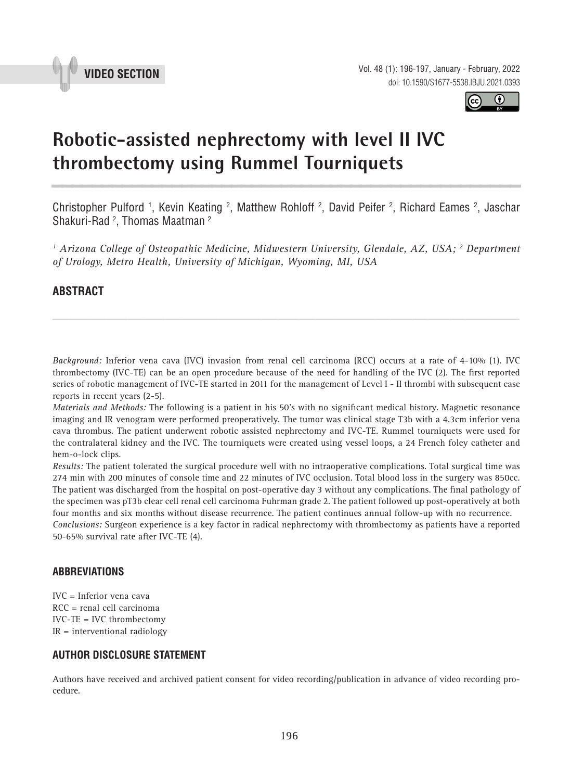



# **Robotic-assisted nephrectomy with level II IVC thrombectomy using Rummel Tourniquets \_\_\_\_\_\_\_\_\_\_\_\_\_\_\_\_\_\_\_\_\_\_\_\_\_\_\_\_\_\_\_\_\_\_\_\_\_\_\_\_\_\_\_\_\_\_\_**

Christopher Pulford <sup>1</sup>, Kevin Keating <sup>2</sup>, Matthew Rohloff <sup>2</sup>, David Peifer <sup>2</sup>, Richard Eames <sup>2</sup>, Jaschar Shakuri-Rad 2 , Thomas Maatman 2

<sup>1</sup> Arizona College of Osteopathic Medicine, Midwestern University, Glendale, AZ, USA; <sup>2</sup> Department *of Urology, Metro Health, University of Michigan, Wyoming, MI, USA*

*\_\_\_\_\_\_\_\_\_\_\_\_\_\_\_\_\_\_\_\_\_\_\_\_\_\_\_\_\_\_\_\_\_\_\_\_\_\_\_\_\_\_\_\_\_\_\_\_\_\_\_\_\_\_\_\_\_\_\_\_\_\_\_\_\_\_\_\_\_\_\_\_\_\_\_\_\_\_\_\_\_\_\_\_\_\_\_*

# **ABSTRACT**

*Background:* Inferior vena cava (IVC) invasion from renal cell carcinoma (RCC) occurs at a rate of 4-10% (1). IVC thrombectomy (IVC-TE) can be an open procedure because of the need for handling of the IVC (2). The first reported series of robotic management of IVC-TE started in 2011 for the management of Level I - II thrombi with subsequent case reports in recent years (2-5).

*Materials and Methods:* The following is a patient in his 50's with no significant medical history. Magnetic resonance imaging and IR venogram were performed preoperatively. The tumor was clinical stage T3b with a 4.3cm inferior vena cava thrombus. The patient underwent robotic assisted nephrectomy and IVC-TE. Rummel tourniquets were used for the contralateral kidney and the IVC. The tourniquets were created using vessel loops, a 24 French foley catheter and hem-o-lock clips.

*Results:* The patient tolerated the surgical procedure well with no intraoperative complications. Total surgical time was 274 min with 200 minutes of console time and 22 minutes of IVC occlusion. Total blood loss in the surgery was 850cc. The patient was discharged from the hospital on post-operative day 3 without any complications. The final pathology of the specimen was pT3b clear cell renal cell carcinoma Fuhrman grade 2. The patient followed up post-operatively at both four months and six months without disease recurrence. The patient continues annual follow-up with no recurrence. *Conclusions:* Surgeon experience is a key factor in radical nephrectomy with thrombectomy as patients have a reported 50-65% survival rate after IVC-TE (4).

## **ABBREVIATIONS**

IVC = Inferior vena cava RCC = renal cell carcinoma IVC-TE = IVC thrombectomy IR = interventional radiology

#### **AUTHOR DISCLOSURE STATEMENT**

Authors have received and archived patient consent for video recording/publication in advance of video recording procedure.